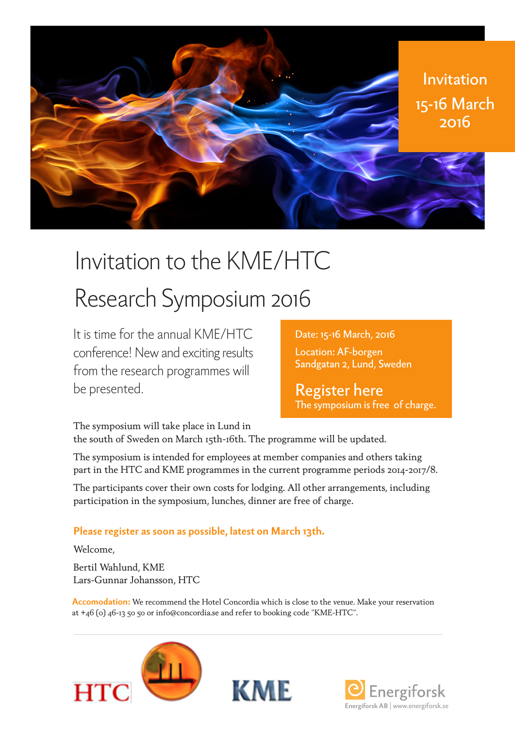

# Invitation to the KME/HTC

## Research Symposium 2016

It is time for the annual KME/HTC conference! New and exciting results from the research programmes will be presented.

Date: 15-16 March, 2016 Location: AF-borgen [Sandgatan 2, Lund, Sweden](https://goo.gl/maps/NX5juFyoPkG2)

Register here [The symposium is free of charge.](http://www.anpdm.com/public/run-form.aspx?Id=43435B4479414251477940&EventId=49465B417343425D4B71&SessionId=41425A4179434251407440)

The symposium will take place in Lund in the south of Sweden on March 15th-16th. The programme will be updated.

The symposium is intended for employees at member companies and others taking part in the HTC and KME programmes in the current programme periods 2014-2017/8.

The participants cover their own costs for lodging. All other arrangements, including participation in the symposium, lunches, dinner are free of charge.

#### **Please register as soon as possible, latest on March 13th.**

Welcome,

Bertil Wahlund, KME Lars-Gunnar Johansson, HTC

**Accomodation:** We recommend the Hotel Concordia which is close to the venue. Make your reservation at +46 (0) 46-13 50 50 or info@concordia.se and refer to booking code "KME-HTC".





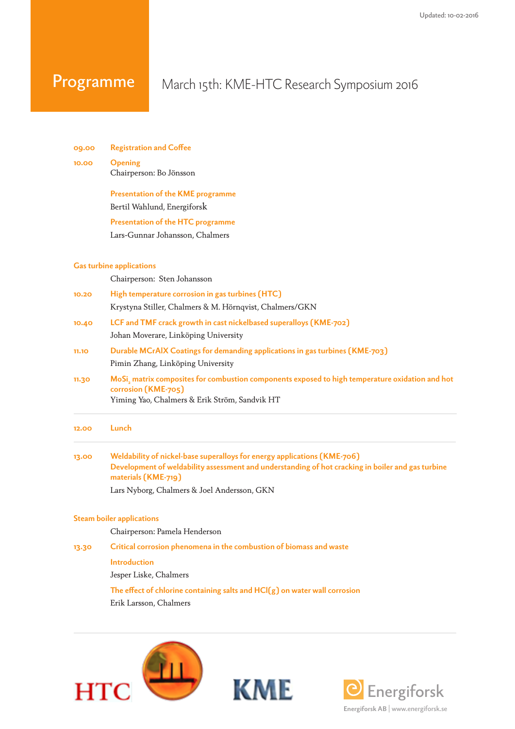### Programme

**09.00 Registration and Coffee**

#### March 15th: KME-HTC Research Symposium 2016

| 10.00 | <b>Opening</b><br>Chairperson: Bo Jönsson                                                                                                                                                            |  |  |
|-------|------------------------------------------------------------------------------------------------------------------------------------------------------------------------------------------------------|--|--|
|       | <b>Presentation of the KME programme</b>                                                                                                                                                             |  |  |
|       | Bertil Wahlund, Energiforsk                                                                                                                                                                          |  |  |
|       | <b>Presentation of the HTC programme</b>                                                                                                                                                             |  |  |
|       | Lars-Gunnar Johansson, Chalmers                                                                                                                                                                      |  |  |
|       | <b>Gas turbine applications</b>                                                                                                                                                                      |  |  |
|       | Chairperson: Sten Johansson                                                                                                                                                                          |  |  |
| 10.20 | High temperature corrosion in gas turbines (HTC)                                                                                                                                                     |  |  |
|       | Krystyna Stiller, Chalmers & M. Hörnqvist, Chalmers/GKN                                                                                                                                              |  |  |
| 10.40 | LCF and TMF crack growth in cast nickelbased superalloys (KME-702)                                                                                                                                   |  |  |
|       | Johan Moverare, Linköping University                                                                                                                                                                 |  |  |
| 11.10 | Durable MCrAIX Coatings for demanding applications in gas turbines (KME-703)                                                                                                                         |  |  |
|       | Pimin Zhang, Linköping University                                                                                                                                                                    |  |  |
| 11.30 | MoSi, matrix composites for combustion components exposed to high temperature oxidation and hot<br>corrosion (KME-705)<br>Yiming Yao, Chalmers & Erik Ström, Sandvik HT                              |  |  |
| 12.00 | Lunch                                                                                                                                                                                                |  |  |
| 13.00 | Weldability of nickel-base superalloys for energy applications (KME-706)<br>Development of weldability assessment and understanding of hot cracking in boiler and gas turbine<br>materials (KME-719) |  |  |
|       | Lars Nyborg, Chalmers & Joel Andersson, GKN                                                                                                                                                          |  |  |
|       | <b>Steam boiler applications</b>                                                                                                                                                                     |  |  |
|       | Chairperson: Pamela Henderson                                                                                                                                                                        |  |  |
| 13.30 | Critical corrosion phenomena in the combustion of biomass and waste                                                                                                                                  |  |  |
|       | <b>Introduction</b>                                                                                                                                                                                  |  |  |
|       | Jesper Liske, Chalmers                                                                                                                                                                               |  |  |
|       | The effect of chlorine containing salts and HCl(g) on water wall corrosion                                                                                                                           |  |  |





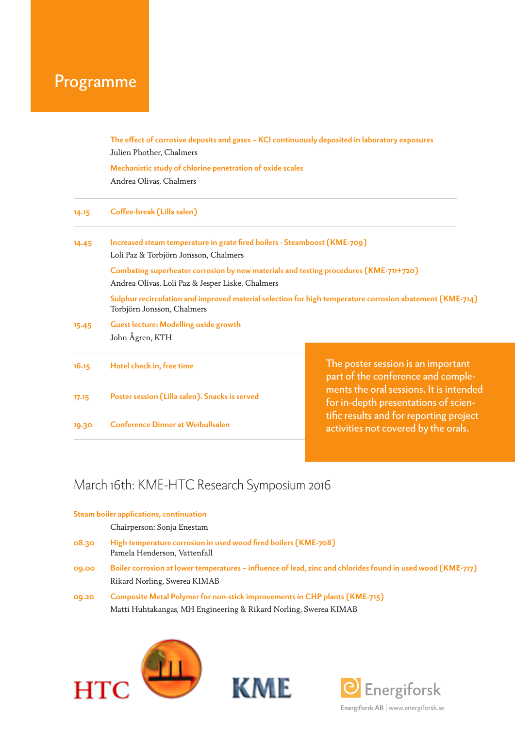### Programme

| The effect of corrosive deposits and gases - KCI continuously deposited in laboratory exposures          |
|----------------------------------------------------------------------------------------------------------|
|                                                                                                          |
|                                                                                                          |
| Increased steam temperature in grate fired boilers - Steamboost (KME-709)                                |
| Combating superheater corrosion by new materials and testing procedures (KME-711+720)                    |
| Sulphur recirculation and improved material selection for high temperature corrosion abatement (KME-714) |
|                                                                                                          |
| The poster session is an important<br>part of the conference and comple-                                 |
| ments the oral sessions. It is intended<br>for in-depth presentations of scien-                          |
| tific results and for reporting project<br>activities not covered by the orals.                          |
|                                                                                                          |

#### March 16th: KME-HTC Research Symposium 2016

#### **Steam boiler applications, continuation**

#### Chairperson: Sonja Enestam

| 08.30 | High temperature corrosion in used wood fired boilers (KME-708)<br>Pamela Henderson, Vattenfall             |
|-------|-------------------------------------------------------------------------------------------------------------|
| 09.00 | Boiler corrosion at lower temperatures – influence of lead, zinc and chlorides found in used wood (KME-717) |
|       | Rikard Norling, Swerea KIMAB                                                                                |
| 09.20 | Composite Metal Polymer for non-stick improvements in CHP plants (KME-715)                                  |
|       | Matti Huhtakangas, MH Engineering & Rikard Norling, Swerea KIMAB                                            |